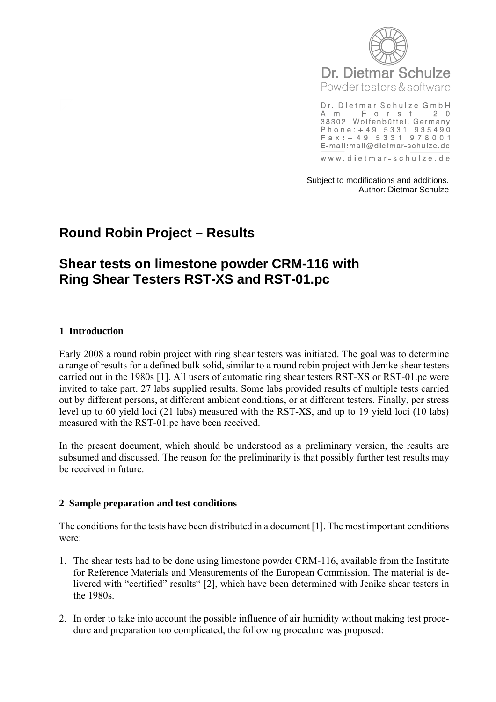

Dr. Dietmar Schulze GmbH Forst A m  $2<sub>0</sub>$ 38302 Wolfenbüttel, Germany Phone: +49 5331 935490<br>Fax: +49 5331 978001 E-mail:mail@dietmar-schulze.de

www.dietmar-schulze.de

Subject to modifications and additions. Author: Dietmar Schulze

# **Round Robin Project – Results**

# **Shear tests on limestone powder CRM-116 with Ring Shear Testers RST-XS and RST-01.pc**

#### **1 Introduction**

Early 2008 a round robin project with ring shear testers was initiated. The goal was to determine a range of results for a defined bulk solid, similar to a round robin project with Jenike shear testers carried out in the 1980s [1]. All users of automatic ring shear testers RST-XS or RST-01.pc were invited to take part. 27 labs supplied results. Some labs provided results of multiple tests carried out by different persons, at different ambient conditions, or at different testers. Finally, per stress level up to 60 yield loci (21 labs) measured with the RST-XS, and up to 19 yield loci (10 labs) measured with the RST-01.pc have been received.

In the present document, which should be understood as a preliminary version, the results are subsumed and discussed. The reason for the preliminarity is that possibly further test results may be received in future.

#### **2 Sample preparation and test conditions**

The conditions for the tests have been distributed in a document [1]. The most important conditions were:

- 1. The shear tests had to be done using limestone powder CRM-116, available from the Institute for Reference Materials and Measurements of the European Commission. The material is delivered with "certified" results" [2], which have been determined with Jenike shear testers in the 1980s.
- 2. In order to take into account the possible influence of air humidity without making test procedure and preparation too complicated, the following procedure was proposed: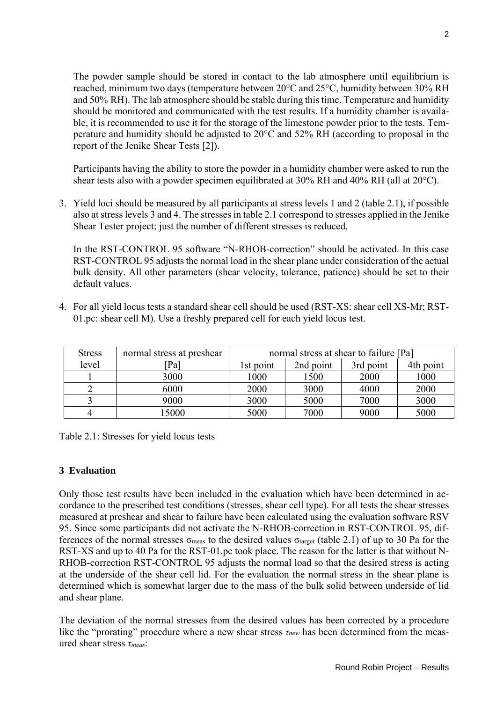The powder sample should be stored in contact to the lab atmosphere until equilibrium is reached, minimum two days (temperature between 20°C and 25°C, humidity between 30% RH and 50% RH). The lab atmosphere should be stable during this time. Temperature and humidity should be monitored and communicated with the test results. If a humidity chamber is available, it is recommended to use it for the storage of the limestone powder prior to the tests. Temperature and humidity should be adjusted to 20°C and 52% RH (according to proposal in the report of the Jenike Shear Tests [2]).

Participants having the ability to store the powder in a humidity chamber were asked to run the shear tests also with a powder specimen equilibrated at 30% RH and 40% RH (all at 20°C).

3. Yield loci should be measured by all participants at stress levels 1 and 2 (table 2.1), if possible also at stress levels 3 and 4. The stresses in table 2.1 correspond to stresses applied in the Jenike Shear Tester project; just the number of different stresses is reduced.

In the RST-CONTROL 95 software "N-RHOB-correction" should be activated. In this case RST-CONTROL 95 adjusts the normal load in the shear plane under consideration of the actual bulk density. All other parameters (shear velocity, tolerance, patience) should be set to their default values.

4. For all yield locus tests a standard shear cell should be used (RST-XS: shear cell XS-Mr; RST-01.pc: shear cell M). Use a freshly prepared cell for each yield locus test.

| <b>Stress</b> | normal stress at preshear | normal stress at shear to failure [Pa] |           |           |           |
|---------------|---------------------------|----------------------------------------|-----------|-----------|-----------|
| level         | $Pa$ ]                    | 1st point                              | 2nd point | 3rd point | 4th point |
|               | 3000                      | 1000                                   | 1500      | 2000      | 1000      |
|               | 6000                      | 2000                                   | 3000      | 4000      | 2000      |
|               | 9000                      | 3000                                   | 5000      | 7000      | 3000      |
|               | 15000                     | 5000                                   | 7000      | 9000      | 5000      |

Table 2.1: Stresses for yield locus tests

# **3 Evaluation**

Only those test results have been included in the evaluation which have been determined in accordance to the prescribed test conditions (stresses, shear cell type). For all tests the shear stresses measured at preshear and shear to failure have been calculated using the evaluation software RSV 95. Since some participants did not activate the N-RHOB-correction in RST-CONTROL 95, differences of the normal stresses  $\sigma_{meas}$  to the desired values  $\sigma_{\text{target}}$  (table 2.1) of up to 30 Pa for the RST-XS and up to 40 Pa for the RST-01.pc took place. The reason for the latter is that without N-RHOB-correction RST-CONTROL 95 adjusts the normal load so that the desired stress is acting at the underside of the shear cell lid. For the evaluation the normal stress in the shear plane is determined which is somewhat larger due to the mass of the bulk solid between underside of lid and shear plane.

The deviation of the normal stresses from the desired values has been corrected by a procedure like the "prorating" procedure where a new shear stress *τnew* has been determined from the measured shear stress *τmeas*: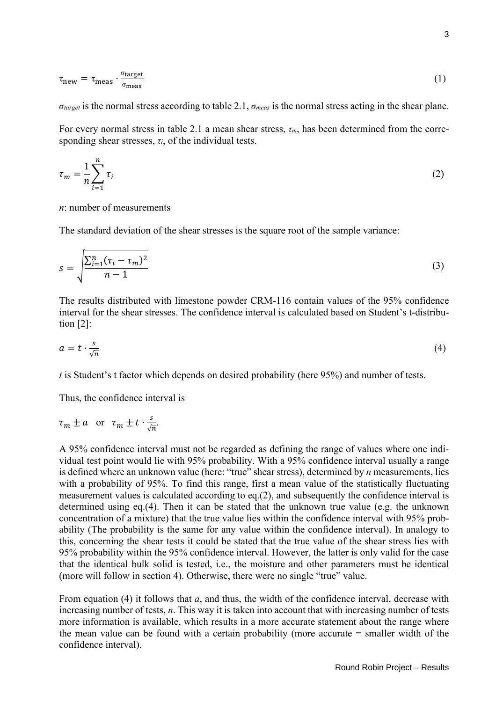$$
\tau_{\text{new}} = \tau_{\text{meas}} \cdot \frac{\sigma_{\text{target}}}{\sigma_{\text{meas}}} \tag{1}
$$

 $\sigma_{\text{target}}$  is the normal stress according to table 2.1,  $\sigma_{\text{meas}}$  is the normal stress acting in the shear plane.

For every normal stress in table 2.1 a mean shear stress, *τm*, has been determined from the corresponding shear stresses,  $\tau_i$ , of the individual tests.

$$
\tau_m = \frac{1}{n} \sum_{i=1}^n \tau_i \tag{2}
$$

#### *n*: number of measurements

The standard deviation of the shear stresses is the square root of the sample variance:

$$
s = \sqrt{\frac{\sum_{i=1}^{n} (\tau_i - \tau_m)^2}{n - 1}}
$$
\n(3)

The results distributed with limestone powder CRM-116 contain values of the 95% confidence interval for the shear stresses. The confidence interval is calculated based on Student's t-distribution  $[2]$ :

$$
a = t \cdot \frac{s}{\sqrt{n}} \tag{4}
$$

*t* is Student's t factor which depends on desired probability (here 95%) and number of tests.

Thus, the confidence interval is

$$
\tau_m \pm a
$$
 or  $\tau_m \pm t \cdot \frac{s}{\sqrt{n}}$ .

A 95% confidence interval must not be regarded as defining the range of values where one individual test point would lie with 95% probability. With a 95% confidence interval usually a range is defined where an unknown value (here: "true" shear stress), determined by *n* measurements, lies with a probability of 95%. To find this range, first a mean value of the statistically fluctuating measurement values is calculated according to eq.(2), and subsequently the confidence interval is determined using eq.(4). Then it can be stated that the unknown true value (e.g. the unknown concentration of a mixture) that the true value lies within the confidence interval with 95% probability (The probability is the same for any value within the confidence interval). In analogy to this, concerning the shear tests it could be stated that the true value of the shear stress lies with 95% probability within the 95% confidence interval. However, the latter is only valid for the case that the identical bulk solid is tested, i.e., the moisture and other parameters must be identical (more will follow in section 4). Otherwise, there were no single "true" value.

From equation (4) it follows that *a*, and thus, the width of the confidence interval, decrease with increasing number of tests, *n*. This way it is taken into account that with increasing number of tests more information is available, which results in a more accurate statement about the range where the mean value can be found with a certain probability (more accurate = smaller width of the confidence interval).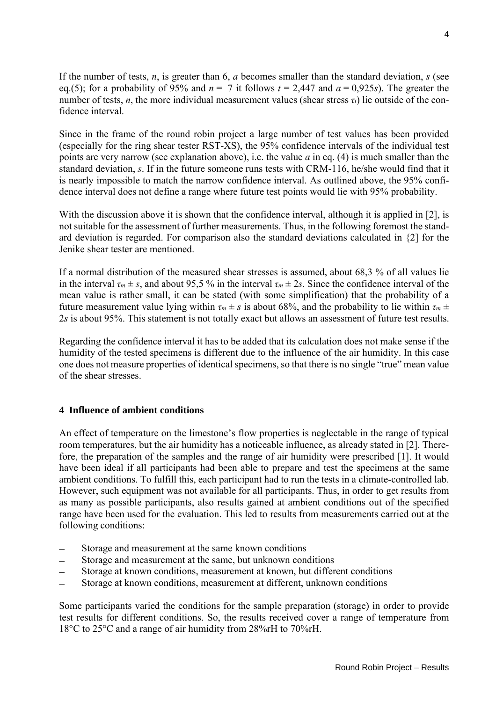If the number of tests, *n*, is greater than 6, *a* becomes smaller than the standard deviation, *s* (see eq.(5); for a probability of 95% and  $n = 7$  it follows  $t = 2.447$  and  $a = 0.925s$ ). The greater the number of tests, *n*, the more individual measurement values (shear stress  $\tau_i$ ) lie outside of the confidence interval.

Since in the frame of the round robin project a large number of test values has been provided (especially for the ring shear tester RST-XS), the 95% confidence intervals of the individual test points are very narrow (see explanation above), i.e. the value *a* in eq. (4) is much smaller than the standard deviation, *s*. If in the future someone runs tests with CRM-116, he/she would find that it is nearly impossible to match the narrow confidence interval. As outlined above, the 95% confidence interval does not define a range where future test points would lie with 95% probability.

With the discussion above it is shown that the confidence interval, although it is applied in [2], is not suitable for the assessment of further measurements. Thus, in the following foremost the standard deviation is regarded. For comparison also the standard deviations calculated in {2] for the Jenike shear tester are mentioned.

If a normal distribution of the measured shear stresses is assumed, about 68,3 % of all values lie in the interval  $\tau_m \pm s$ , and about 95,5 % in the interval  $\tau_m \pm 2s$ . Since the confidence interval of the mean value is rather small, it can be stated (with some simplification) that the probability of a future measurement value lying within  $\tau_m \pm s$  is about 68%, and the probability to lie within  $\tau_m \pm$ 2*s* is about 95%. This statement is not totally exact but allows an assessment of future test results.

Regarding the confidence interval it has to be added that its calculation does not make sense if the humidity of the tested specimens is different due to the influence of the air humidity. In this case one does not measure properties of identical specimens, so that there is no single "true" mean value of the shear stresses.

# **4 Influence of ambient conditions**

An effect of temperature on the limestone's flow properties is neglectable in the range of typical room temperatures, but the air humidity has a noticeable influence, as already stated in [2]. Therefore, the preparation of the samples and the range of air humidity were prescribed [1]. It would have been ideal if all participants had been able to prepare and test the specimens at the same ambient conditions. To fulfill this, each participant had to run the tests in a climate-controlled lab. However, such equipment was not available for all participants. Thus, in order to get results from as many as possible participants, also results gained at ambient conditions out of the specified range have been used for the evaluation. This led to results from measurements carried out at the following conditions:

- Storage and measurement at the same known conditions
- Storage and measurement at the same, but unknown conditions
- Storage at known conditions, measurement at known, but different conditions
- Storage at known conditions, measurement at different, unknown conditions

Some participants varied the conditions for the sample preparation (storage) in order to provide test results for different conditions. So, the results received cover a range of temperature from 18°C to 25°C and a range of air humidity from 28%rH to 70%rH.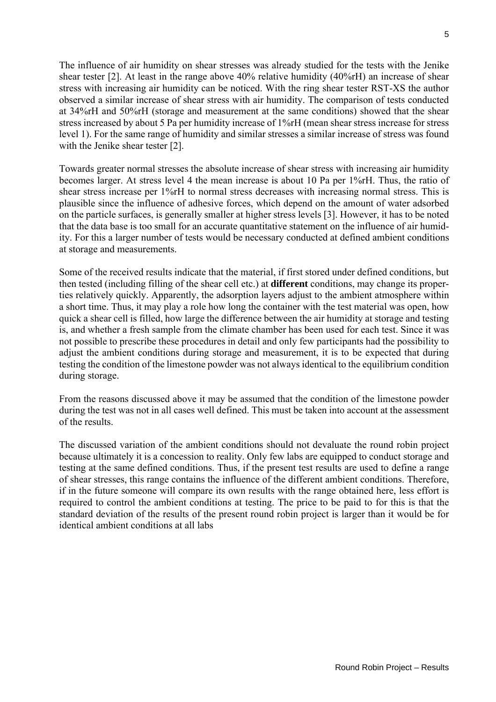The influence of air humidity on shear stresses was already studied for the tests with the Jenike shear tester [2]. At least in the range above 40% relative humidity (40%rH) an increase of shear stress with increasing air humidity can be noticed. With the ring shear tester RST-XS the author observed a similar increase of shear stress with air humidity. The comparison of tests conducted at 34%rH and 50%rH (storage and measurement at the same conditions) showed that the shear stress increased by about 5 Pa per humidity increase of 1%rH (mean shear stress increase for stress level 1). For the same range of humidity and similar stresses a similar increase of stress was found with the Jenike shear tester [2].

Towards greater normal stresses the absolute increase of shear stress with increasing air humidity becomes larger. At stress level 4 the mean increase is about 10 Pa per 1%rH. Thus, the ratio of shear stress increase per 1%rH to normal stress decreases with increasing normal stress. This is plausible since the influence of adhesive forces, which depend on the amount of water adsorbed on the particle surfaces, is generally smaller at higher stress levels [3]. However, it has to be noted that the data base is too small for an accurate quantitative statement on the influence of air humidity. For this a larger number of tests would be necessary conducted at defined ambient conditions at storage and measurements.

Some of the received results indicate that the material, if first stored under defined conditions, but then tested (including filling of the shear cell etc.) at **different** conditions, may change its properties relatively quickly. Apparently, the adsorption layers adjust to the ambient atmosphere within a short time. Thus, it may play a role how long the container with the test material was open, how quick a shear cell is filled, how large the difference between the air humidity at storage and testing is, and whether a fresh sample from the climate chamber has been used for each test. Since it was not possible to prescribe these procedures in detail and only few participants had the possibility to adjust the ambient conditions during storage and measurement, it is to be expected that during testing the condition of the limestone powder was not always identical to the equilibrium condition during storage.

From the reasons discussed above it may be assumed that the condition of the limestone powder during the test was not in all cases well defined. This must be taken into account at the assessment of the results.

The discussed variation of the ambient conditions should not devaluate the round robin project because ultimately it is a concession to reality. Only few labs are equipped to conduct storage and testing at the same defined conditions. Thus, if the present test results are used to define a range of shear stresses, this range contains the influence of the different ambient conditions. Therefore, if in the future someone will compare its own results with the range obtained here, less effort is required to control the ambient conditions at testing. The price to be paid to for this is that the standard deviation of the results of the present round robin project is larger than it would be for identical ambient conditions at all labs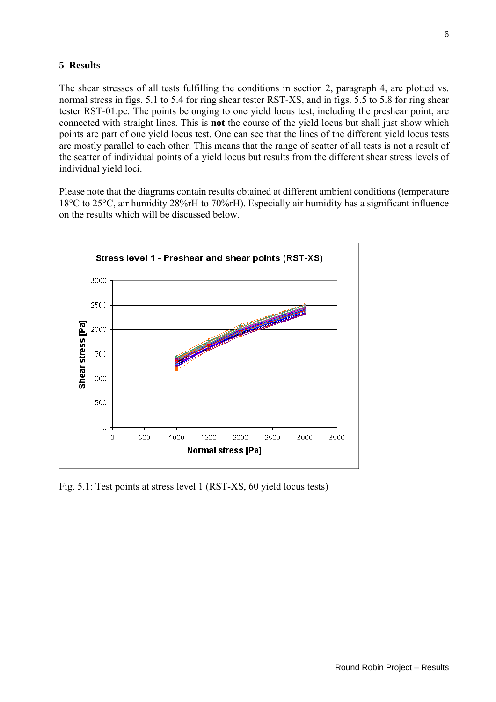### **5 Results**

The shear stresses of all tests fulfilling the conditions in section 2, paragraph 4, are plotted vs. normal stress in figs. 5.1 to 5.4 for ring shear tester RST-XS, and in figs. 5.5 to 5.8 for ring shear tester RST-01.pc. The points belonging to one yield locus test, including the preshear point, are connected with straight lines. This is **not** the course of the yield locus but shall just show which points are part of one yield locus test. One can see that the lines of the different yield locus tests are mostly parallel to each other. This means that the range of scatter of all tests is not a result of the scatter of individual points of a yield locus but results from the different shear stress levels of individual yield loci.

Please note that the diagrams contain results obtained at different ambient conditions (temperature 18°C to 25°C, air humidity 28%rH to 70%rH). Especially air humidity has a significant influence on the results which will be discussed below.



Fig. 5.1: Test points at stress level 1 (RST-XS, 60 yield locus tests)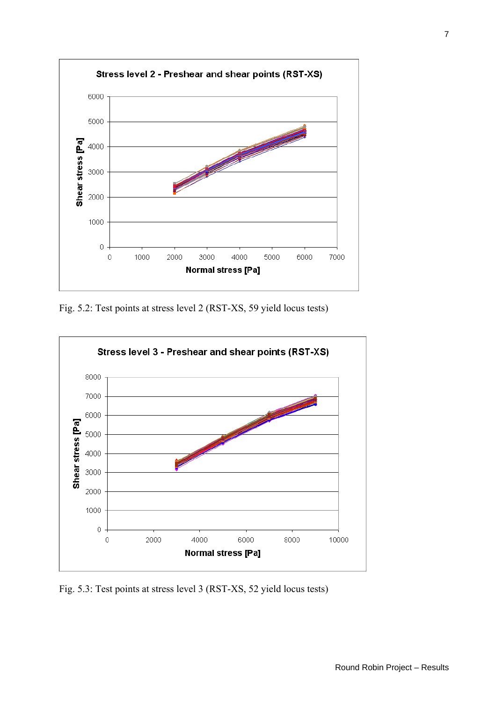

Fig. 5.2: Test points at stress level 2 (RST-XS, 59 yield locus tests)



Fig. 5.3: Test points at stress level 3 (RST-XS, 52 yield locus tests)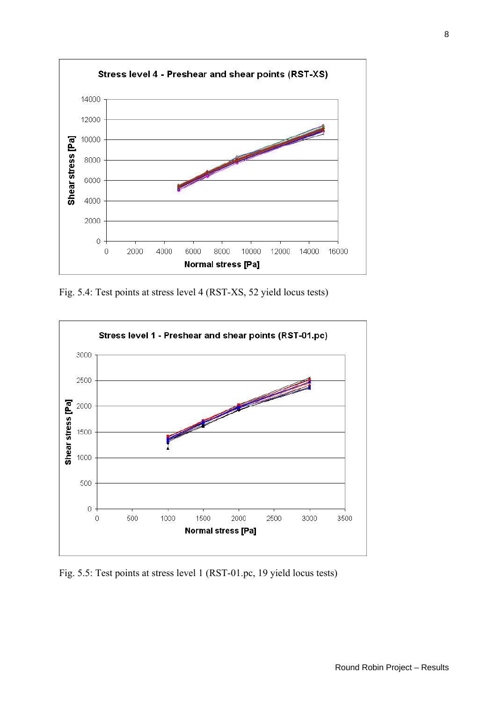

Fig. 5.4: Test points at stress level 4 (RST-XS, 52 yield locus tests)



Fig. 5.5: Test points at stress level 1 (RST-01.pc, 19 yield locus tests)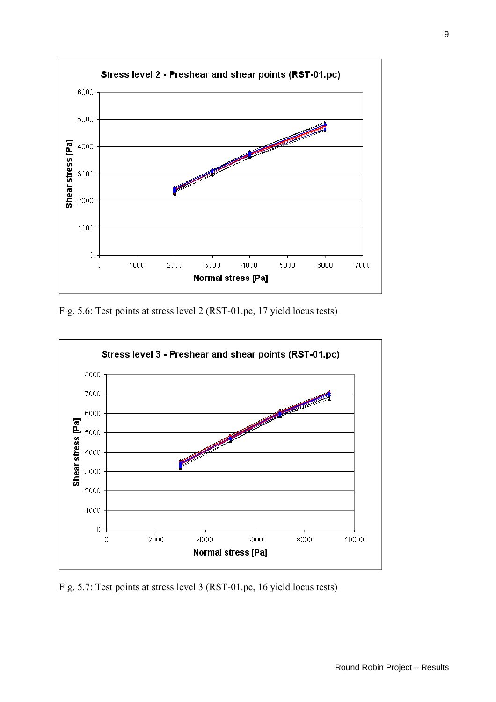

Fig. 5.6: Test points at stress level 2 (RST-01.pc, 17 yield locus tests)



Fig. 5.7: Test points at stress level 3 (RST-01.pc, 16 yield locus tests)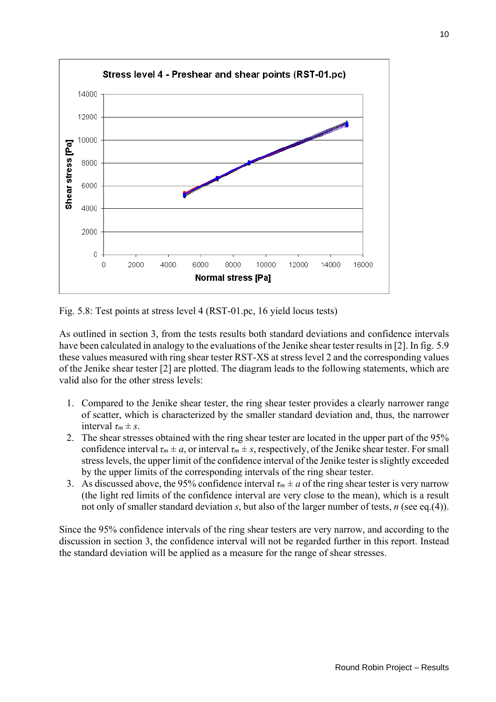

Fig. 5.8: Test points at stress level 4 (RST-01.pc, 16 yield locus tests)

As outlined in section 3, from the tests results both standard deviations and confidence intervals have been calculated in analogy to the evaluations of the Jenike shear tester results in [2]. In fig. 5.9 these values measured with ring shear tester RST-XS at stress level 2 and the corresponding values of the Jenike shear tester [2] are plotted. The diagram leads to the following statements, which are valid also for the other stress levels:

- 1. Compared to the Jenike shear tester, the ring shear tester provides a clearly narrower range of scatter, which is characterized by the smaller standard deviation and, thus, the narrower interval  $\tau_m \pm s$ .
- 2. The shear stresses obtained with the ring shear tester are located in the upper part of the 95% confidence interval  $\tau_m \pm a$ , or interval  $\tau_m \pm s$ , respectively, of the Jenike shear tester. For small stress levels, the upper limit of the confidence interval of the Jenike tester is slightly exceeded by the upper limits of the corresponding intervals of the ring shear tester.
- 3. As discussed above, the 95% confidence interval  $\tau_m \pm a$  of the ring shear tester is very narrow (the light red limits of the confidence interval are very close to the mean), which is a result not only of smaller standard deviation *s*, but also of the larger number of tests, *n* (see eq.(4)).

Since the 95% confidence intervals of the ring shear testers are very narrow, and according to the discussion in section 3, the confidence interval will not be regarded further in this report. Instead the standard deviation will be applied as a measure for the range of shear stresses.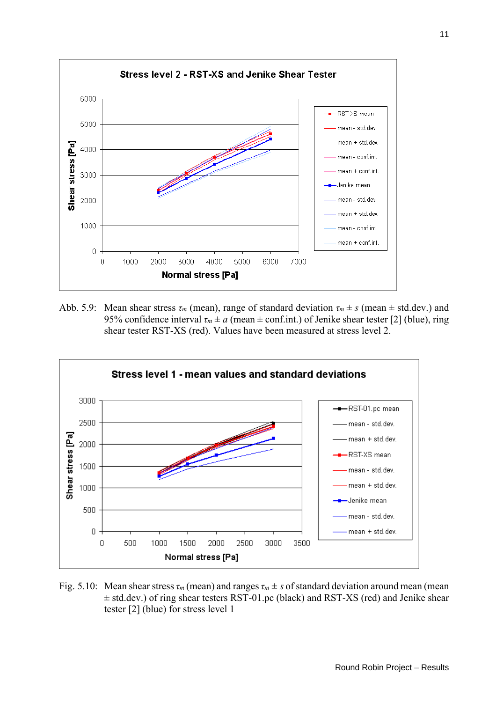

Abb. 5.9: Mean shear stress  $\tau_m$  (mean), range of standard deviation  $\tau_m \pm s$  (mean  $\pm$  std.dev.) and 95% confidence interval  $\tau_m \pm a$  (mean  $\pm$  conf.int.) of Jenike shear tester [2] (blue), ring shear tester RST-XS (red). Values have been measured at stress level 2.



Fig. 5.10: Mean shear stress  $\tau_m$  (mean) and ranges  $\tau_m \pm s$  of standard deviation around mean (mean  $\pm$  std.dev.) of ring shear testers RST-01.pc (black) and RST-XS (red) and Jenike shear tester [2] (blue) for stress level 1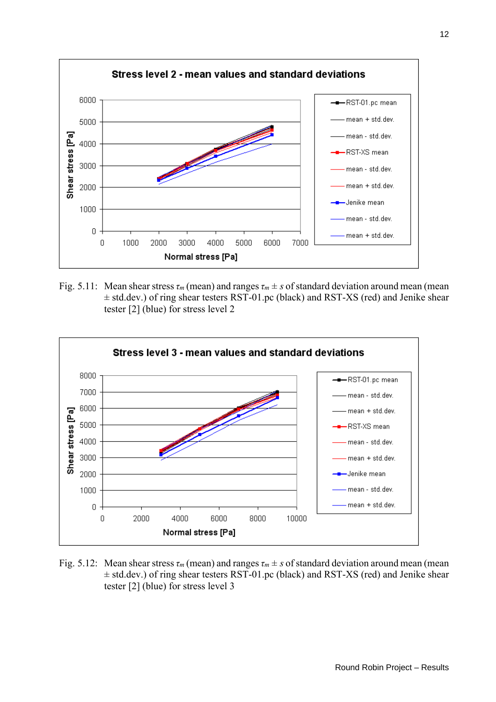

Fig. 5.11: Mean shear stress  $\tau_m$  (mean) and ranges  $\tau_m \pm s$  of standard deviation around mean (mean ± std.dev.) of ring shear testers RST-01.pc (black) and RST-XS (red) and Jenike shear tester [2] (blue) for stress level 2



Fig. 5.12: Mean shear stress  $\tau_m$  (mean) and ranges  $\tau_m \pm s$  of standard deviation around mean (mean ± std.dev.) of ring shear testers RST-01.pc (black) and RST-XS (red) and Jenike shear tester [2] (blue) for stress level 3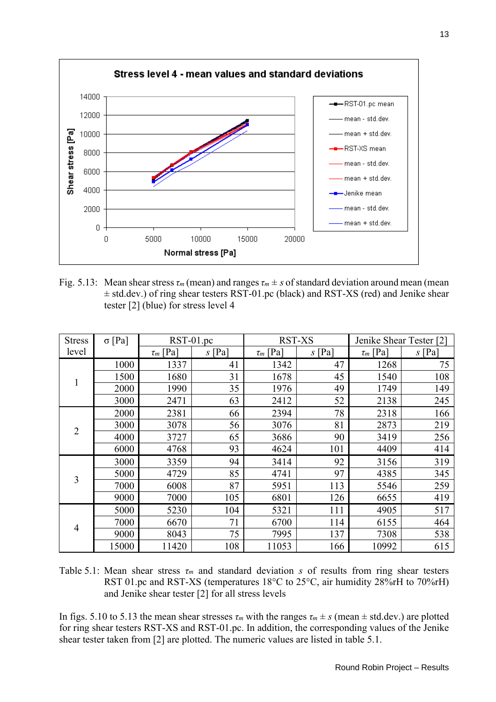

Fig. 5.13: Mean shear stress  $\tau_m$  (mean) and ranges  $\tau_m \pm s$  of standard deviation around mean (mean  $\pm$  std.dev.) of ring shear testers RST-01.pc (black) and RST-XS (red) and Jenike shear tester [2] (blue) for stress level 4

| <b>Stress</b>  | $\sigma$ [Pa] | RST-01.pc     |          | <b>RST-XS</b> |          | Jenike Shear Tester [2] |          |
|----------------|---------------|---------------|----------|---------------|----------|-------------------------|----------|
| level          |               | $\tau_m$ [Pa] | $s$ [Pa] | $\tau_m$ [Pa] | $s$ [Pa] | $\tau_m$ [Pa]           | $s$ [Pa] |
| 1              | 1000          | 1337          | 41       | 1342          | 47       | 1268                    | 75       |
|                | 1500          | 1680          | 31       | 1678          | 45       | 1540                    | 108      |
|                | 2000          | 1990          | 35       | 1976          | 49       | 1749                    | 149      |
|                | 3000          | 2471          | 63       | 2412          | 52       | 2138                    | 245      |
| $\overline{2}$ | 2000          | 2381          | 66       | 2394          | 78       | 2318                    | 166      |
|                | 3000          | 3078          | 56       | 3076          | 81       | 2873                    | 219      |
|                | 4000          | 3727          | 65       | 3686          | 90       | 3419                    | 256      |
|                | 6000          | 4768          | 93       | 4624          | 101      | 4409                    | 414      |
| 3              | 3000          | 3359          | 94       | 3414          | 92       | 3156                    | 319      |
|                | 5000          | 4729          | 85       | 4741          | 97       | 4385                    | 345      |
|                | 7000          | 6008          | 87       | 5951          | 113      | 5546                    | 259      |
|                | 9000          | 7000          | 105      | 6801          | 126      | 6655                    | 419      |
| $\overline{4}$ | 5000          | 5230          | 104      | 5321          | 111      | 4905                    | 517      |
|                | 7000          | 6670          | 71       | 6700          | 114      | 6155                    | 464      |
|                | 9000          | 8043          | 75       | 7995          | 137      | 7308                    | 538      |
|                | 15000         | 11420         | 108      | 11053         | 166      | 10992                   | 615      |

Table 5.1: Mean shear stress *τm* and standard deviation *s* of results from ring shear testers RST 01.pc and RST-XS (temperatures 18<sup>o</sup>C to 25<sup>o</sup>C, air humidity 28%rH to 70%rH) and Jenike shear tester [2] for all stress levels

In figs. 5.10 to 5.13 the mean shear stresses  $\tau_m$  with the ranges  $\tau_m \pm s$  (mean  $\pm$  std.dev.) are plotted for ring shear testers RST-XS and RST-01.pc. In addition, the corresponding values of the Jenike shear tester taken from [2] are plotted. The numeric values are listed in table 5.1.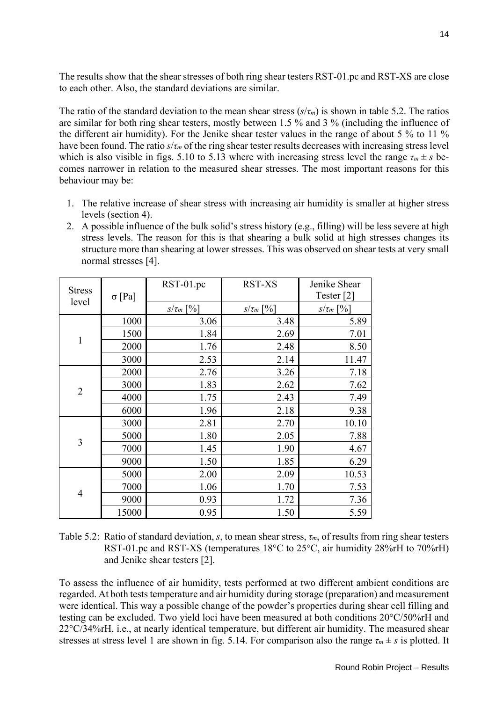The results show that the shear stresses of both ring shear testers RST-01.pc and RST-XS are close to each other. Also, the standard deviations are similar.

The ratio of the standard deviation to the mean shear stress (*s*/*τm*) is shown in table 5.2. The ratios are similar for both ring shear testers, mostly between 1.5 % and 3 % (including the influence of the different air humidity). For the Jenike shear tester values in the range of about 5 % to 11 % have been found. The ratio  $s/\tau_m$  of the ring shear tester results decreases with increasing stress level which is also visible in figs. 5.10 to 5.13 where with increasing stress level the range  $\tau_m \pm s$  becomes narrower in relation to the measured shear stresses. The most important reasons for this behaviour may be:

- 1. The relative increase of shear stress with increasing air humidity is smaller at higher stress levels (section 4).
- 2. A possible influence of the bulk solid's stress history (e.g., filling) will be less severe at high stress levels. The reason for this is that shearing a bulk solid at high stresses changes its structure more than shearing at lower stresses. This was observed on shear tests at very small normal stresses [4].

| <b>Stress</b><br>level |               | $RST-01$ .pc<br><b>RST-XS</b> |                | Jenike Shear          |  |
|------------------------|---------------|-------------------------------|----------------|-----------------------|--|
|                        | $\sigma$ [Pa] |                               |                | Tester <sup>[2]</sup> |  |
|                        |               | $S/\tau_m$ [%]                | $S/\tau_m$ [%] | $S/\tau_m$ [%]        |  |
| 1                      | 1000          | 3.06                          | 3.48           | 5.89                  |  |
|                        | 1500          | 1.84                          | 2.69           | 7.01                  |  |
|                        | 2000          | 1.76                          | 2.48           | 8.50                  |  |
|                        | 3000          | 2.53                          | 2.14           | 11.47                 |  |
| $\overline{2}$         | 2000          | 2.76                          | 3.26           | 7.18                  |  |
|                        | 3000          | 1.83                          | 2.62           | 7.62                  |  |
|                        | 4000          | 1.75                          | 2.43           | 7.49                  |  |
|                        | 6000          | 1.96                          | 2.18           | 9.38                  |  |
| $\overline{3}$         | 3000          | 2.81                          | 2.70           | 10.10                 |  |
|                        | 5000          | 1.80                          | 2.05           | 7.88                  |  |
|                        | 7000          | 1.45                          | 1.90           | 4.67                  |  |
|                        | 9000          | 1.50                          | 1.85           | 6.29                  |  |
| $\overline{4}$         | 5000          | 2.00                          | 2.09           | 10.53                 |  |
|                        | 7000          | 1.06                          | 1.70           | 7.53                  |  |
|                        | 9000          | 0.93                          | 1.72           | 7.36                  |  |
|                        | 15000         | 0.95                          | 1.50           | 5.59                  |  |

Table 5.2: Ratio of standard deviation, *s*, to mean shear stress, *τm*, of results from ring shear testers RST-01.pc and RST-XS (temperatures 18°C to 25°C, air humidity 28%rH to 70%rH) and Jenike shear testers [2].

To assess the influence of air humidity, tests performed at two different ambient conditions are regarded. At both tests temperature and air humidity during storage (preparation) and measurement were identical. This way a possible change of the powder's properties during shear cell filling and testing can be excluded. Two yield loci have been measured at both conditions 20°C/50%rH and 22°C/34%rH, i.e., at nearly identical temperature, but different air humidity. The measured shear stresses at stress level 1 are shown in fig. 5.14. For comparison also the range  $\tau_m \pm s$  is plotted. It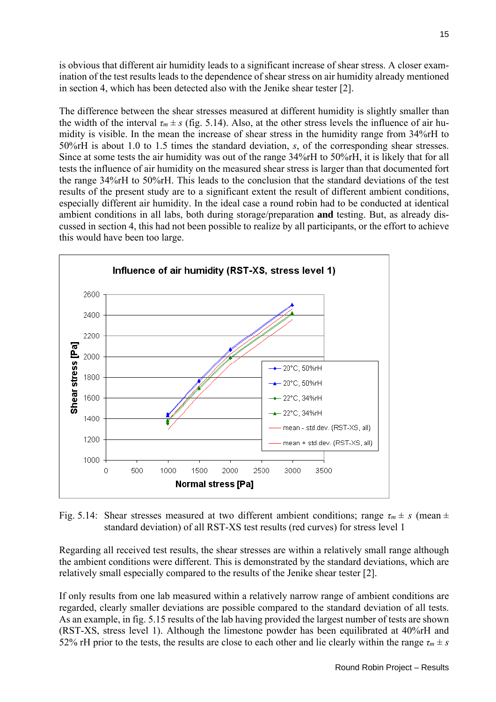is obvious that different air humidity leads to a significant increase of shear stress. A closer examination of the test results leads to the dependence of shear stress on air humidity already mentioned in section 4, which has been detected also with the Jenike shear tester [2].

The difference between the shear stresses measured at different humidity is slightly smaller than the width of the interval  $\tau_m \pm s$  (fig. 5.14). Also, at the other stress levels the influence of air humidity is visible. In the mean the increase of shear stress in the humidity range from 34%rH to 50%rH is about 1.0 to 1.5 times the standard deviation, *s*, of the corresponding shear stresses. Since at some tests the air humidity was out of the range 34%rH to 50%rH, it is likely that for all tests the influence of air humidity on the measured shear stress is larger than that documented fort the range 34%rH to 50%rH. This leads to the conclusion that the standard deviations of the test results of the present study are to a significant extent the result of different ambient conditions, especially different air humidity. In the ideal case a round robin had to be conducted at identical ambient conditions in all labs, both during storage/preparation **and** testing. But, as already discussed in section 4, this had not been possible to realize by all participants, or the effort to achieve this would have been too large.



Fig. 5.14: Shear stresses measured at two different ambient conditions; range  $\tau_m \pm s$  (mean  $\pm$ standard deviation) of all RST-XS test results (red curves) for stress level 1

Regarding all received test results, the shear stresses are within a relatively small range although the ambient conditions were different. This is demonstrated by the standard deviations, which are relatively small especially compared to the results of the Jenike shear tester [2].

If only results from one lab measured within a relatively narrow range of ambient conditions are regarded, clearly smaller deviations are possible compared to the standard deviation of all tests. As an example, in fig. 5.15 results of the lab having provided the largest number of tests are shown (RST-XS, stress level 1). Although the limestone powder has been equilibrated at 40%rH and 52% rH prior to the tests, the results are close to each other and lie clearly within the range  $\tau_m \pm s$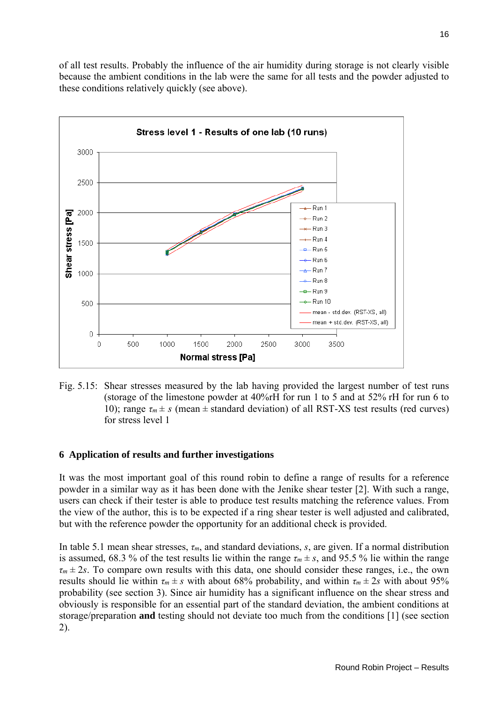of all test results. Probably the influence of the air humidity during storage is not clearly visible because the ambient conditions in the lab were the same for all tests and the powder adjusted to these conditions relatively quickly (see above).



Fig. 5.15: Shear stresses measured by the lab having provided the largest number of test runs (storage of the limestone powder at 40%rH for run 1 to 5 and at 52% rH for run 6 to 10); range  $\tau_m \pm s$  (mean  $\pm$  standard deviation) of all RST-XS test results (red curves) for stress level 1

# **6 Application of results and further investigations**

It was the most important goal of this round robin to define a range of results for a reference powder in a similar way as it has been done with the Jenike shear tester [2]. With such a range, users can check if their tester is able to produce test results matching the reference values. From the view of the author, this is to be expected if a ring shear tester is well adjusted and calibrated, but with the reference powder the opportunity for an additional check is provided.

In table 5.1 mean shear stresses, *τm*, and standard deviations, *s*, are given. If a normal distribution is assumed, 68.3 % of the test results lie within the range  $\tau_m \pm s$ , and 95.5 % lie within the range  $\tau_m \pm 2s$ . To compare own results with this data, one should consider these ranges, i.e., the own results should lie within  $\tau_m \pm s$  with about 68% probability, and within  $\tau_m \pm 2s$  with about 95% probability (see section 3). Since air humidity has a significant influence on the shear stress and obviously is responsible for an essential part of the standard deviation, the ambient conditions at storage/preparation **and** testing should not deviate too much from the conditions [1] (see section 2).